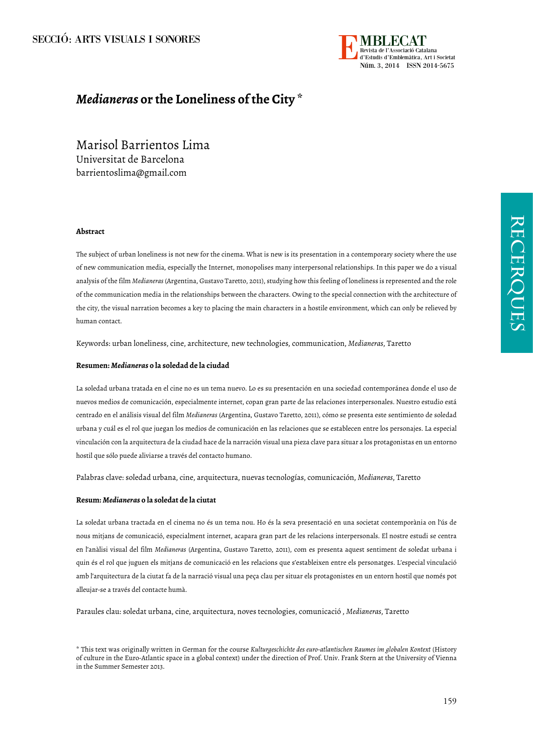

## *Medianeras* **or the Loneliness of the City \***

Marisol Barrientos Lima Universitat de Barcelona barrientoslima@gmail.com

#### **Abstract**

The subject of urban loneliness is not new for the cinema. What is new is its presentation in a contemporary society where the use of new communication media, especially the Internet, monopolises many interpersonal relationships. In this paper we do a visual analysis of the film *Medianeras* (Argentina, Gustavo Taretto, 2011), studying how this feeling of loneliness is represented and the role of the communication media in the relationships between the characters. Owing to the special connection with the architecture of the city, the visual narration becomes a key to placing the main characters in a hostile environment, which can only be relieved by human contact.

Keywords: urban loneliness, cine, architecture, new technologies, communication, *Medianeras*, Taretto

#### **Resumen:** *Medianeras* **o la soledad de la ciudad**

La soledad urbana tratada en el cine no es un tema nuevo. Lo es su presentación en una sociedad contemporánea donde el uso de nuevos medios de comunicación, especialmente internet, copan gran parte de las relaciones interpersonales. Nuestro estudio está centrado en el análisis visual del film *Medianeras* (Argentina, Gustavo Taretto, 2011), cómo se presenta este sentimiento de soledad urbana y cuál es el rol que juegan los medios de comunicación en las relaciones que se establecen entre los personajes. La especial vinculación con la arquitectura de la ciudad hace de la narración visual una pieza clave para situar a los protagonistas en un entorno hostil que sólo puede aliviarse a través del contacto humano.

Palabras clave: soledad urbana, cine, arquitectura, nuevas tecnologías, comunicación, *Medianeras*, Taretto

#### **Resum:** *Medianeras* **o la soledat de la ciutat**

La soledat urbana tractada en el cinema no és un tema nou. Ho és la seva presentació en una societat contemporània on l'ús de nous mitjans de comunicació, especialment internet, acapara gran part de les relacions interpersonals. El nostre estudi se centra en l'anàlisi visual del film *Medianeras* (Argentina, Gustavo Taretto, 2011), com es presenta aquest sentiment de soledat urbana i quin és el rol que juguen els mitjans de comunicació en les relacions que s'estableixen entre els personatges. L'especial vinculació amb l'arquitectura de la ciutat fa de la narració visual una peça clau per situar els protagonistes en un entorn hostil que només pot alleujar-se a través del contacte humà.

Paraules clau: soledat urbana, cine, arquitectura, noves tecnologies, comunicació , *Medianeras*, Taretto

<sup>\*</sup> This text was originally written in German for the course *Kulturgeschichte des euro-atlantischen Raumes im globalen Kontext* (History of culture in the Euro-Atlantic space in a global context) under the direction of Prof. Univ. Frank Stern at the University of Vienna in the Summer Semester 2013.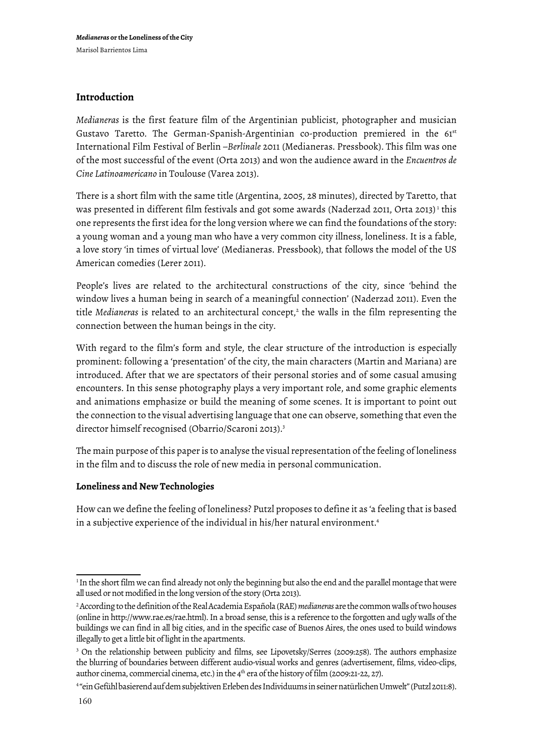## **Introduction**

*Medianeras* is the first feature film of the Argentinian publicist, photographer and musician Gustavo Taretto. The German-Spanish-Argentinian co-production premiered in the  $61<sup>st</sup>$ International Film Festival of Berlin –*Berlinale* 2011 (Medianeras. Pressbook). This film was one of the most successful of the event (Orta 2013) and won the audience award in the *Encuentros de Cine Latinoamericano* in Toulouse (Varea 2013).

There is a short film with the same title (Argentina, 2005, 28 minutes), directed by Taretto, that was presented in different film festivals and got some awards (Naderzad 2011, Orta 2013)<sup>1</sup> this one represents the first idea for the long version where we can find the foundations of the story: a young woman and a young man who have a very common city illness, loneliness. It is a fable, a love story 'in times of virtual love' (Medianeras. Pressbook), that follows the model of the US American comedies (Lerer 2011).

People's lives are related to the architectural constructions of the city, since 'behind the window lives a human being in search of a meaningful connection' (Naderzad 2011). Even the title Medianeras is related to an architectural concept,<sup>2</sup> the walls in the film representing the connection between the human beings in the city.

With regard to the film's form and style, the clear structure of the introduction is especially prominent: following a 'presentation' of the city, the main characters (Martin and Mariana) are introduced. After that we are spectators of their personal stories and of some casual amusing encounters. In this sense photography plays a very important role, and some graphic elements and animations emphasize or build the meaning of some scenes. It is important to point out the connection to the visual advertising language that one can observe, something that even the director himself recognised (Obarrio/Scaroni 2013).<sup>3</sup>

The main purpose of this paper is to analyse the visual representation of the feeling of loneliness in the film and to discuss the role of new media in personal communication.

### **Loneliness and New Technologies**

How can we define the feeling of loneliness? Putzl proposes to define it as 'a feeling that is based in a subjective experience of the individual in his/her natural environment.4

<sup>&</sup>lt;sup>1</sup> In the short film we can find already not only the beginning but also the end and the parallel montage that were all used or not modified in the long version of the story (Orta 2013).

<sup>2</sup> According to the definition of the Real Academia Española (RAE) *medianeras* are the common walls of two houses (online in http://www.rae.es/rae.html). In a broad sense, this is a reference to the forgotten and ugly walls of the buildings we can find in all big cities, and in the specific case of Buenos Aires, the ones used to build windows illegally to get a little bit of light in the apartments.

<sup>3</sup> On the relationship between publicity and films, see Lipovetsky/Serres (2009:258). The authors emphasize the blurring of boundaries between different audio-visual works and genres (advertisement, films, video-clips, author cinema, commercial cinema, etc.) in the  $4<sup>th</sup>$  era of the history of film (2009:21-22, 27).

<sup>4</sup> "ein Gefühl basierend auf dem subjektiven Erleben des Individuums in seiner natürlichen Umwelt" (Putzl 2011:8).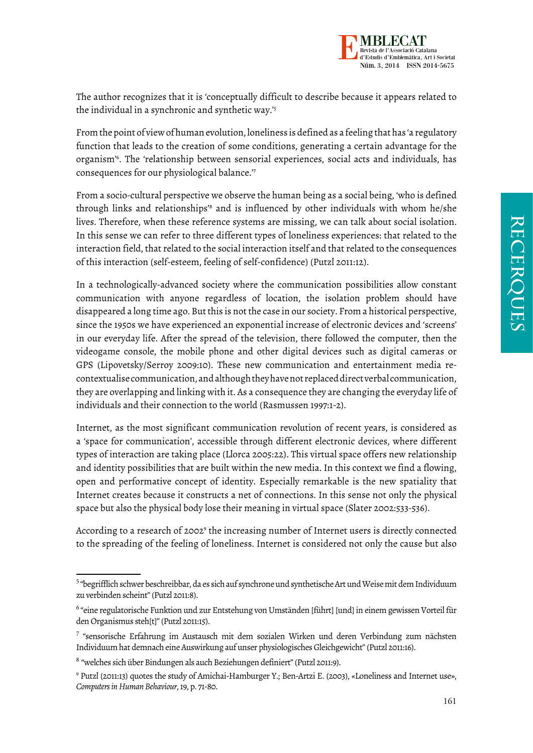

The author recognizes that it is 'conceptually difficult to describe because it appears related to the individual in a synchronic and synthetic way.'5

From the point of view of human evolution, loneliness is defined as a feeling that has 'a regulatory function that leads to the creation of some conditions, generating a certain advantage for the organism'6 . The 'relationship between sensorial experiences, social acts and individuals, has consequences for our physiological balance.'7

From a socio-cultural perspective we observe the human being as a social being, 'who is defined through links and relationships<sup>38</sup> and is influenced by other individuals with whom he/she lives. Therefore, when these reference systems are missing, we can talk about social isolation. In this sense we can refer to three different types of loneliness experiences: that related to the interaction field, that related to the social interaction itself and that related to the consequences of this interaction (self-esteem, feeling of self-confidence) (Putzl 2011:12).

In a technologically-advanced society where the communication possibilities allow constant communication with anyone regardless of location, the isolation problem should have disappeared a long time ago. But this is not the case in our society. From a historical perspective, since the 1950s we have experienced an exponential increase of electronic devices and 'screens' in our everyday life. After the spread of the television, there followed the computer, then the videogame console, the mobile phone and other digital devices such as digital cameras or GPS (Lipovetsky/Serroy 2009:10). These new communication and entertainment media recontextualise communication, and although they have not replaced direct verbal communication, they are overlapping and linking with it. As a consequence they are changing the everyday life of individuals and their connection to the world (Rasmussen 1997:1-2).

Internet, as the most significant communication revolution of recent years, is considered as a 'space for communication', accessible through different electronic devices, where different types of interaction are taking place (Llorca 2005:22). This virtual space offers new relationship and identity possibilities that are built within the new media. In this context we find a flowing, open and performative concept of identity. Especially remarkable is the new spatiality that Internet creates because it constructs a net of connections. In this sense not only the physical space but also the physical body lose their meaning in virtual space (Slater 2002:533-536).

According to a research of 2002° the increasing number of Internet users is directly connected to the spreading of the feeling of loneliness. Internet is considered not only the cause but also

<sup>&</sup>lt;sup>5</sup> "begrifflich schwer beschreibbar, da es sich auf synchrone und synthetische Art und Weise mit dem Individuum zu verbinden scheint" (Putzl 2011:8).

<sup>6</sup> "eine regulatorische Funktion und zur Entstehung von Umständen [führt] [und] in einem gewissen Vorteil für den Organismus steh[t]" (Putzl 2011:15).

<sup>&</sup>lt;sup>7</sup> "sensorische Erfahrung im Austausch mit dem sozialen Wirken und deren Verbindung zum nächsten Individuum hat demnach eine Auswirkung auf unser physiologisches Gleichgewicht" (Putzl 2011:16).

<sup>8</sup> "welches sich über Bindungen als auch Beziehungen definiert" (Putzl 2011:9).

<sup>9</sup> Putzl (2011:13) quotes the study of Amichai-Hamburger Y.; Ben-Artzi E. (2003), «Loneliness and Internet use», *Computers in Human Behaviour*, 19, p. 71-80.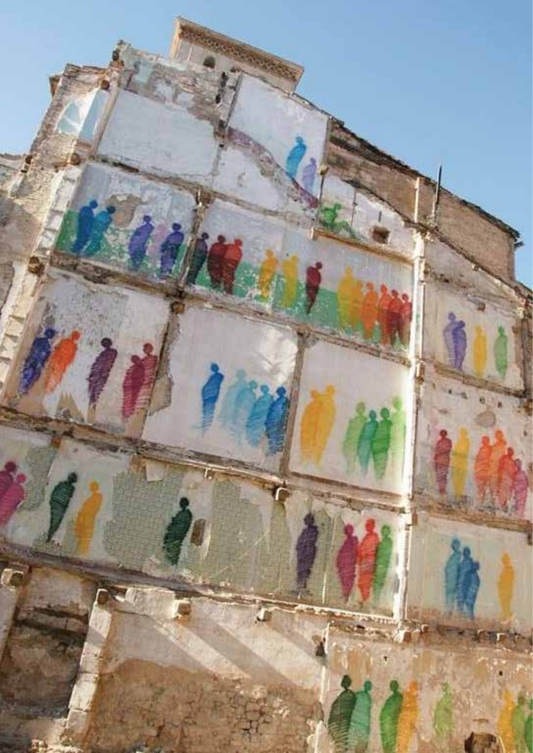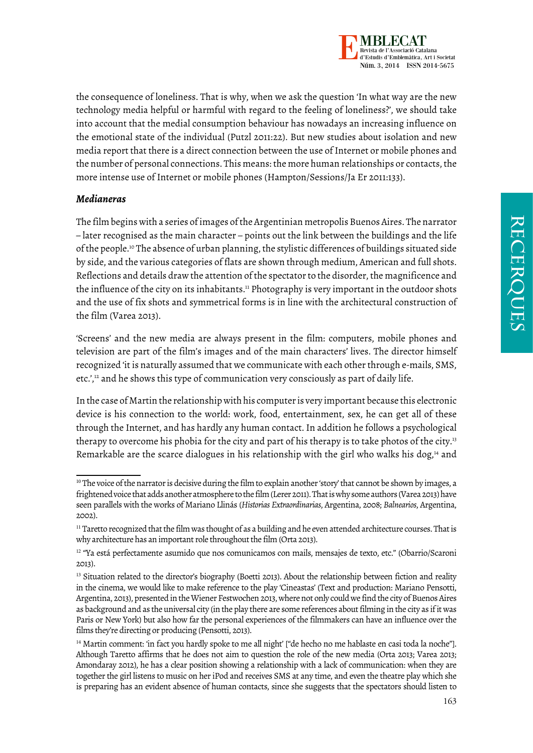

the consequence of loneliness. That is why, when we ask the question 'In what way are the new technology media helpful or harmful with regard to the feeling of loneliness?', we should take into account that the medial consumption behaviour has nowadays an increasing influence on the emotional state of the individual (Putzl 2011:22). But new studies about isolation and new media report that there is a direct connection between the use of Internet or mobile phones and the number of personal connections. This means: the more human relationships or contacts, the more intense use of Internet or mobile phones (Hampton/Sessions/Ja Er 2011:133).

### *Medianeras*

The film begins with a series of images of the Argentinian metropolis Buenos Aires. The narrator – later recognised as the main character – points out the link between the buildings and the life of the people.10 The absence of urban planning, the stylistic differences of buildings situated side by side, and the various categories of flats are shown through medium, American and full shots. Reflections and details draw the attention of the spectator to the disorder, the magnificence and the influence of the city on its inhabitants.<sup>11</sup> Photography is very important in the outdoor shots and the use of fix shots and symmetrical forms is in line with the architectural construction of the film (Varea 2013).

'Screens' and the new media are always present in the film: computers, mobile phones and television are part of the film's images and of the main characters' lives. The director himself recognized 'it is naturally assumed that we communicate with each other through e-mails, SMS, etc.', $12$  and he shows this type of communication very consciously as part of daily life.

In the case of Martin the relationship with his computer is very important because this electronic device is his connection to the world: work, food, entertainment, sex, he can get all of these through the Internet, and has hardly any human contact. In addition he follows a psychological therapy to overcome his phobia for the city and part of his therapy is to take photos of the city.<sup>13</sup> Remarkable are the scarce dialogues in his relationship with the girl who walks his dog,<sup>14</sup> and

<sup>&</sup>lt;sup>10</sup> The voice of the narrator is decisive during the film to explain another 'story' that cannot be shown by images, a frightened voice that adds another atmosphere to the film (Lerer 2011). That is why some authors (Varea 2013) have seen parallels with the works of Mariano Llinás (*Historias Extraordinarias*, Argentina, 2008; *Balnearios*, Argentina, 2002).

<sup>&</sup>lt;sup>11</sup> Taretto recognized that the film was thought of as a building and he even attended architecture courses. That is why architecture has an important role throughout the film (Orta 2013).

<sup>&</sup>lt;sup>12</sup> "Ya está perfectamente asumido que nos comunicamos con mails, mensajes de texto, etc." (Obarrio/Scaroni 2013).

<sup>&</sup>lt;sup>13</sup> Situation related to the director's biography (Boetti 2013). About the relationship between fiction and reality in the cinema, we would like to make reference to the play 'Cineastas' (Text and production: Mariano Pensotti, Argentina, 2013), presented in the Wiener Festwochen 2013, where not only could we find the city of Buenos Aires as background and as the universal city (in the play there are some references about filming in the city as if it was Paris or New York) but also how far the personal experiences of the filmmakers can have an influence over the films they're directing or producing (Pensotti, 2013).

<sup>&</sup>lt;sup>14</sup> Martin comment: 'in fact you hardly spoke to me all night' ["de hecho no me hablaste en casi toda la noche"]. Although Taretto affirms that he does not aim to question the role of the new media (Orta 2013; Varea 2013; Amondaray 2012), he has a clear position showing a relationship with a lack of communication: when they are together the girl listens to music on her iPod and receives SMS at any time, and even the theatre play which she is preparing has an evident absence of human contacts, since she suggests that the spectators should listen to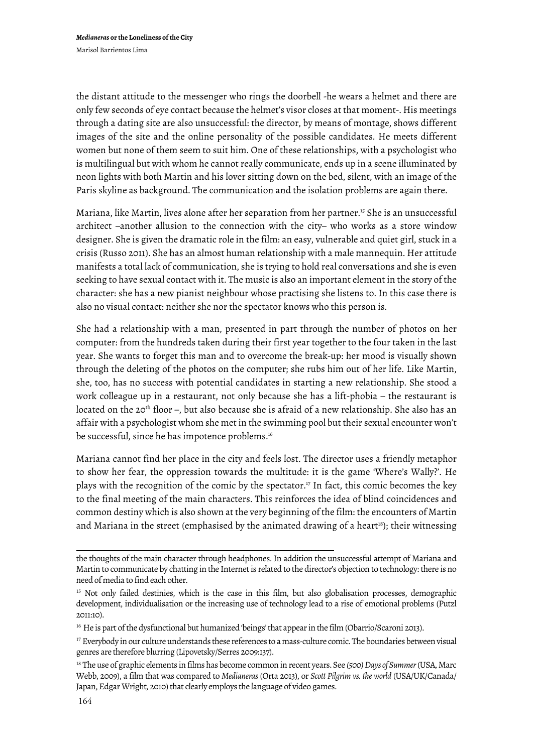the distant attitude to the messenger who rings the doorbell -he wears a helmet and there are only few seconds of eye contact because the helmet's visor closes at that moment-. His meetings through a dating site are also unsuccessful: the director, by means of montage, shows different images of the site and the online personality of the possible candidates. He meets different women but none of them seem to suit him. One of these relationships, with a psychologist who is multilingual but with whom he cannot really communicate, ends up in a scene illuminated by neon lights with both Martin and his lover sitting down on the bed, silent, with an image of the Paris skyline as background. The communication and the isolation problems are again there.

Mariana, like Martin, lives alone after her separation from her partner.15 She is an unsuccessful architect –another allusion to the connection with the city– who works as a store window designer. She is given the dramatic role in the film: an easy, vulnerable and quiet girl, stuck in a crisis (Russo 2011). She has an almost human relationship with a male mannequin. Her attitude manifests a total lack of communication, she is trying to hold real conversations and she is even seeking to have sexual contact with it. The music is also an important element in the story of the character: she has a new pianist neighbour whose practising she listens to. In this case there is also no visual contact: neither she nor the spectator knows who this person is.

She had a relationship with a man, presented in part through the number of photos on her computer: from the hundreds taken during their first year together to the four taken in the last year. She wants to forget this man and to overcome the break-up: her mood is visually shown through the deleting of the photos on the computer; she rubs him out of her life. Like Martin, she, too, has no success with potential candidates in starting a new relationship. She stood a work colleague up in a restaurant, not only because she has a lift-phobia – the restaurant is located on the 20<sup>th</sup> floor –, but also because she is afraid of a new relationship. She also has an affair with a psychologist whom she met in the swimming pool but their sexual encounter won't be successful, since he has impotence problems.<sup>16</sup>

Mariana cannot find her place in the city and feels lost. The director uses a friendly metaphor to show her fear, the oppression towards the multitude: it is the game 'Where's Wally?'. He plays with the recognition of the comic by the spectator.<sup>17</sup> In fact, this comic becomes the key to the final meeting of the main characters. This reinforces the idea of blind coincidences and common destiny which is also shown at the very beginning of the film: the encounters of Martin and Mariana in the street (emphasised by the animated drawing of a heart<sup>18</sup>); their witnessing

the thoughts of the main character through headphones. In addition the unsuccessful attempt of Mariana and Martin to communicate by chatting in the Internet is related to the director's objection to technology: there is no need of media to find each other.

<sup>&</sup>lt;sup>15</sup> Not only failed destinies, which is the case in this film, but also globalisation processes, demographic development, individualisation or the increasing use of technology lead to a rise of emotional problems (Putzl 2011:10).

<sup>&</sup>lt;sup>16</sup> He is part of the dysfunctional but humanized 'beings' that appear in the film (Obarrio/Scaroni 2013).

<sup>&</sup>lt;sup>17</sup> Everybody in our culture understands these references to a mass-culture comic. The boundaries between visual genres are therefore blurring (Lipovetsky/Serres 2009:137).

<sup>18</sup> The use of graphic elements in films has become common in recent years. See *(500) Days of Summer* (USA, Marc Webb, 2009), a film that was compared to *Medianeras* (Orta 2013), or *Scott Pilgrim vs. the world* (USA/UK/Canada/ Japan, Edgar Wright, 2010) that clearly employs the language of video games.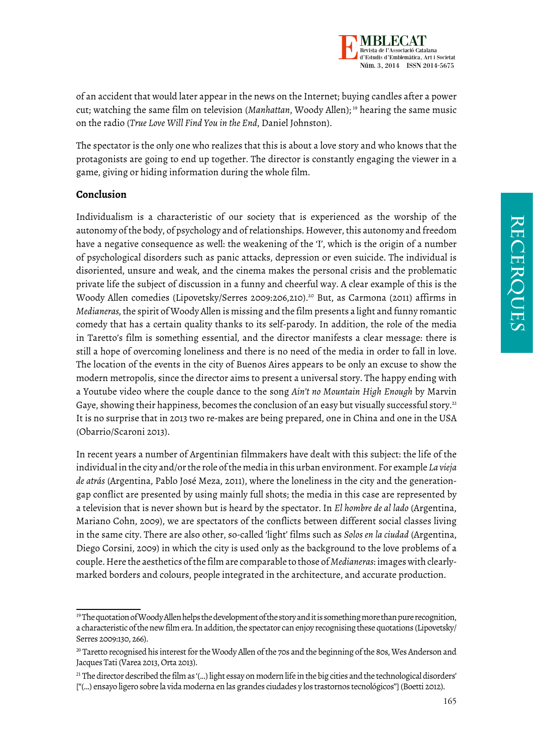

of an accident that would later appear in the news on the Internet; buying candles after a power cut; watching the same film on television (*Manhattan*, Woody Allen); 19 hearing the same music on the radio (*True Love Will Find You in the End*, Daniel Johnston).

The spectator is the only one who realizes that this is about a love story and who knows that the protagonists are going to end up together. The director is constantly engaging the viewer in a game, giving or hiding information during the whole film.

### **Conclusion**

Individualism is a characteristic of our society that is experienced as the worship of the autonomy of the body, of psychology and of relationships. However, this autonomy and freedom have a negative consequence as well: the weakening of the 'I', which is the origin of a number of psychological disorders such as panic attacks, depression or even suicide. The individual is disoriented, unsure and weak, and the cinema makes the personal crisis and the problematic private life the subject of discussion in a funny and cheerful way. A clear example of this is the Woody Allen comedies (Lipovetsky/Serres 2009:206,210).<sup>20</sup> But, as Carmona (2011) affirms in *Medianeras,* the spirit of Woody Allen is missing and the film presents a light and funny romantic comedy that has a certain quality thanks to its self-parody. In addition, the role of the media in Taretto's film is something essential, and the director manifests a clear message: there is still a hope of overcoming loneliness and there is no need of the media in order to fall in love. The location of the events in the city of Buenos Aires appears to be only an excuse to show the modern metropolis, since the director aims to present a universal story. The happy ending with a Youtube video where the couple dance to the song *Ain't no Mountain High Enough* by Marvin Gaye, showing their happiness, becomes the conclusion of an easy but visually successful story.<sup>21</sup> It is no surprise that in 2013 two re-makes are being prepared, one in China and one in the USA (Obarrio/Scaroni 2013).

In recent years a number of Argentinian filmmakers have dealt with this subject: the life of the individual in the city and/or the role of the media in this urban environment. For example *La vieja de atrás* (Argentina, Pablo José Meza, 2011), where the loneliness in the city and the generationgap conflict are presented by using mainly full shots; the media in this case are represented by a television that is never shown but is heard by the spectator. In *El hombre de al lado* (Argentina, Mariano Cohn, 2009), we are spectators of the conflicts between different social classes living in the same city. There are also other, so-called 'light' films such as *Solos en la ciudad* (Argentina, Diego Corsini, 2009) in which the city is used only as the background to the love problems of a couple. Here the aesthetics of the film are comparable to those of *Medianeras*: images with clearlymarked borders and colours, people integrated in the architecture, and accurate production.

<sup>&</sup>lt;sup>19</sup> The quotation of Woody Allen helps the development of the story and it is something more than pure recognition, a characteristic of the new film era. In addition, the spectator can enjoy recognising these quotations (Lipovetsky/ Serres 2009:130, 266).

<sup>&</sup>lt;sup>20</sup> Taretto recognised his interest for the Woody Allen of the 70s and the beginning of the 80s, Wes Anderson and Jacques Tati (Varea 2013, Orta 2013).

<sup>&</sup>lt;sup>21</sup> The director described the film as '(...) light essay on modern life in the big cities and the technological disorders' ["(...) ensayo ligero sobre la vida moderna en las grandes ciudades y los trastornos tecnológicos"] (Boetti 2012).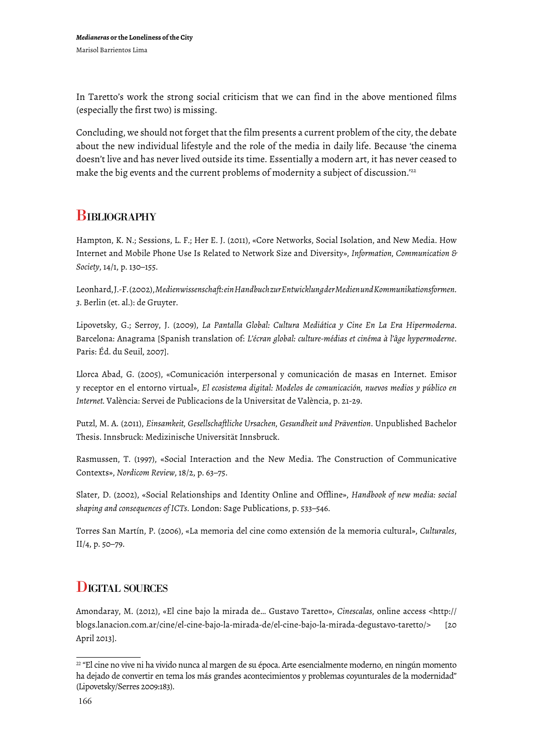In Taretto's work the strong social criticism that we can find in the above mentioned films (especially the first two) is missing.

Concluding, we should not forget that the film presents a current problem of the city, the debate about the new individual lifestyle and the role of the media in daily life. Because 'the cinema doesn't live and has never lived outside its time. Essentially a modern art, it has never ceased to make the big events and the current problems of modernity a subject of discussion.<sup>222</sup>

# **BIBLIOGRAPHY**

Hampton, K. N.; Sessions, L. F.; Her E. J. (2011), «Core Networks, Social Isolation, and New Media. How Internet and Mobile Phone Use Is Related to Network Size and Diversity», *Information, Communication & Society*, 14/1, p. 130–155.

Leonhard, J.-F. (2002), *Medienwissenschaft: ein Handbuch zur Entwicklung der Medien und Kommunikationsformen. 3*. Berlin (et. al.): de Gruyter.

Lipovetsky, G.; Serroy, J. (2009), *La Pantalla Global: Cultura Mediática y Cine En La Era Hipermoderna*. Barcelona: Anagrama [Spanish translation of: *L'écran global: culture-médias et cinéma à l'âge hypermoderne*. Paris: Éd. du Seuil, 2007].

Llorca Abad, G. (2005), «Comunicación interpersonal y comunicación de masas en Internet. Emisor y receptor en el entorno virtual», *El ecosistema digital: Modelos de comunicación, nuevos medios y público en Internet.* València: Servei de Publicacions de la Universitat de València, p. 21-29.

Putzl, M. A. (2011), *Einsamkeit, Gesellschaftliche Ursachen, Gesundheit und Prävention*. Unpublished Bachelor Thesis. Innsbruck: Medizinische Universität Innsbruck.

Rasmussen, T. (1997), «Social Interaction and the New Media. The Construction of Communicative Contexts», *Nordicom Review*, 18/2, p. 63–75.

Slater, D. (2002), «Social Relationships and Identity Online and Offline», *Handbook of new media: social shaping and consequences of ICTs*. London: Sage Publications, p. 533–546.

Torres San Martín, P. (2006), «La memoria del cine como extensión de la memoria cultural», *Culturales*, II/4, p. 50–79.

# **DIGITAL SOURCES**

Amondaray, M. (2012), «El cine bajo la mirada de… Gustavo Taretto», *Cinescalas*, online access <http:// blogs.lanacion.com.ar/cine/el-cine-bajo-la-mirada-de/el-cine-bajo-la-mirada-degustavo-taretto/> [20 April 2013].

 $22$  "El cine no vive ni ha vivido nunca al margen de su época. Arte esencialmente moderno, en ningún momento ha dejado de convertir en tema los más grandes acontecimientos y problemas coyunturales de la modernidad" (Lipovetsky/Serres 2009:183).